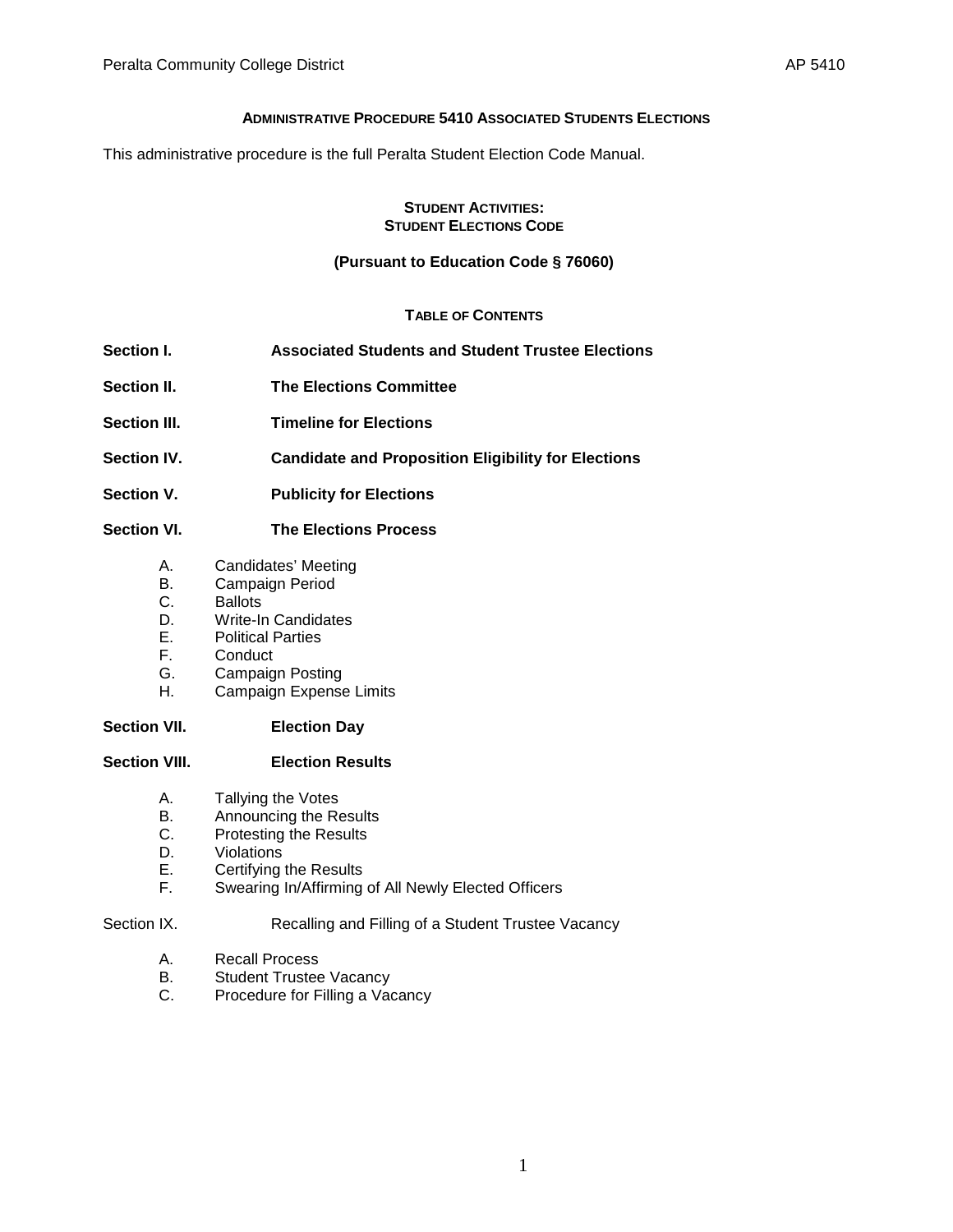### **ADMINISTRATIVE PROCEDURE 5410 ASSOCIATED STUDENTS ELECTIONS**

This administrative procedure is the full Peralta Student Election Code Manual.

#### **STUDENT ACTIVITIES: STUDENT ELECTIONS CODE**

# **(Pursuant to Education Code § 76060)**

# **TABLE OF CONTENTS**

- **Section I. Associated Students and Student Trustee Elections Section II. The Elections Committee Section III. Timeline for Elections**
- **Section IV. Candidate and Proposition Eligibility for Elections**
- **Section V. Publicity for Elections**

# **Section VI. The Elections Process**

- A. Candidates' Meeting
- B. Campaign Period<br>C. Ballots
- Ballots
- D. Write-In Candidates<br>E. Political Parties
- E. Political Parties<br>F. Conduct
- Conduct
- G. Campaign Posting
- H. Campaign Expense Limits

# **Section VII. Election Day**

# **Section VIII. Election Results**

- A. Tallying the Votes<br>B. Announcing the Re
- Announcing the Results
- C. Protesting the Results
- D. Violations<br>E. Certifying
- Certifying the Results
- F. Swearing In/Affirming of All Newly Elected Officers

### Section IX. Recalling and Filling of a Student Trustee Vacancy

- A. Recall Process<br>B. Student Trustee
- **Student Trustee Vacancy**
- C. Procedure for Filling a Vacancy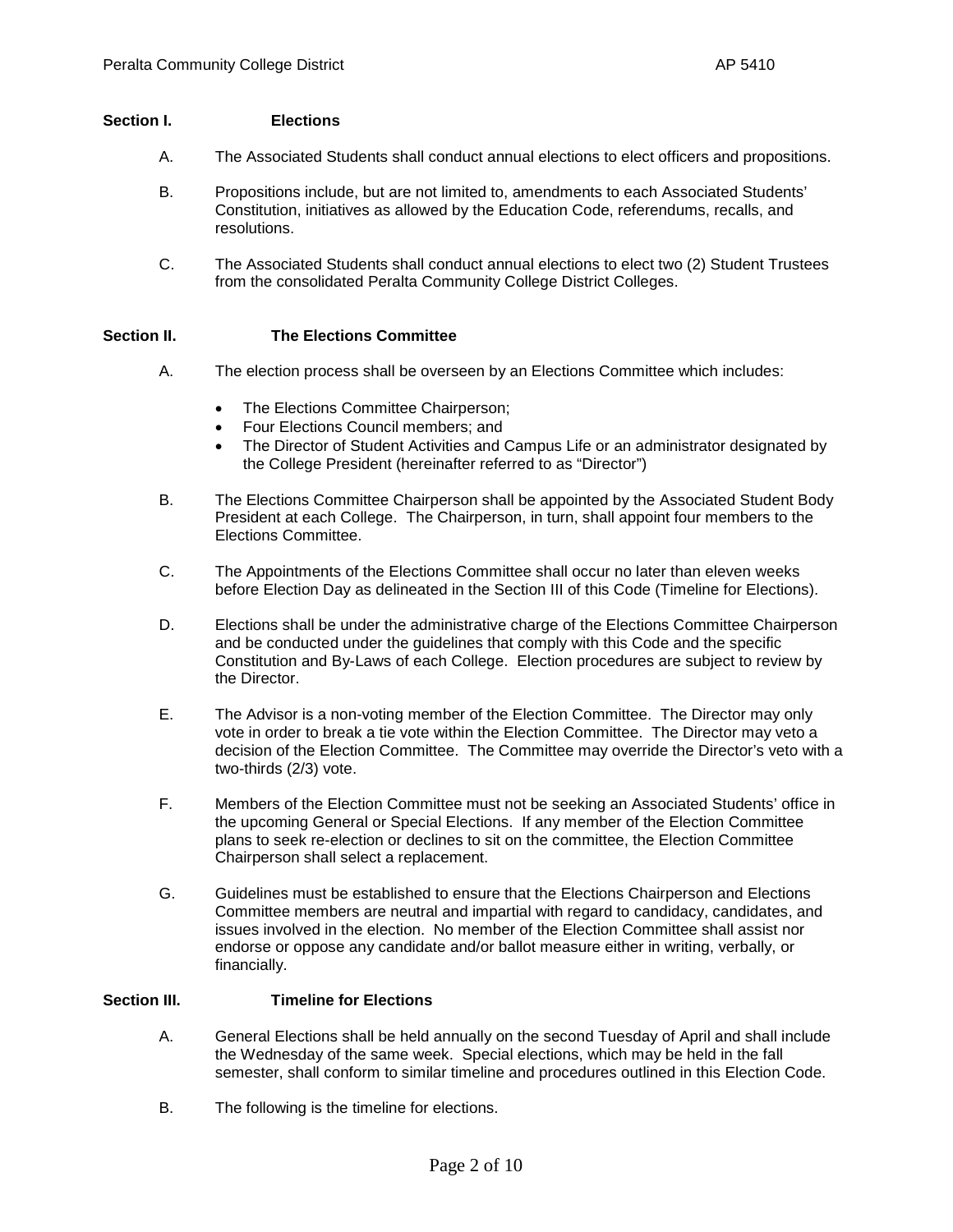### **Section I. Elections**

- A. The Associated Students shall conduct annual elections to elect officers and propositions.
- B. Propositions include, but are not limited to, amendments to each Associated Students' Constitution, initiatives as allowed by the Education Code, referendums, recalls, and resolutions.
- C. The Associated Students shall conduct annual elections to elect two (2) Student Trustees from the consolidated Peralta Community College District Colleges.

### **Section II. The Elections Committee**

- A. The election process shall be overseen by an Elections Committee which includes:
	- The Elections Committee Chairperson;
	- Four Elections Council members; and
	- The Director of Student Activities and Campus Life or an administrator designated by the College President (hereinafter referred to as "Director")
- B. The Elections Committee Chairperson shall be appointed by the Associated Student Body President at each College. The Chairperson, in turn, shall appoint four members to the Elections Committee.
- C. The Appointments of the Elections Committee shall occur no later than eleven weeks before Election Day as delineated in the Section III of this Code (Timeline for Elections).
- D. Elections shall be under the administrative charge of the Elections Committee Chairperson and be conducted under the guidelines that comply with this Code and the specific Constitution and By-Laws of each College. Election procedures are subject to review by the Director.
- E. The Advisor is a non-voting member of the Election Committee. The Director may only vote in order to break a tie vote within the Election Committee. The Director may veto a decision of the Election Committee. The Committee may override the Director's veto with a two-thirds (2/3) vote.
- F. Members of the Election Committee must not be seeking an Associated Students' office in the upcoming General or Special Elections. If any member of the Election Committee plans to seek re-election or declines to sit on the committee, the Election Committee Chairperson shall select a replacement.
- G. Guidelines must be established to ensure that the Elections Chairperson and Elections Committee members are neutral and impartial with regard to candidacy, candidates, and issues involved in the election. No member of the Election Committee shall assist nor endorse or oppose any candidate and/or ballot measure either in writing, verbally, or financially.

# **Section III. Timeline for Elections**

- A. General Elections shall be held annually on the second Tuesday of April and shall include the Wednesday of the same week. Special elections, which may be held in the fall semester, shall conform to similar timeline and procedures outlined in this Election Code.
- B. The following is the timeline for elections.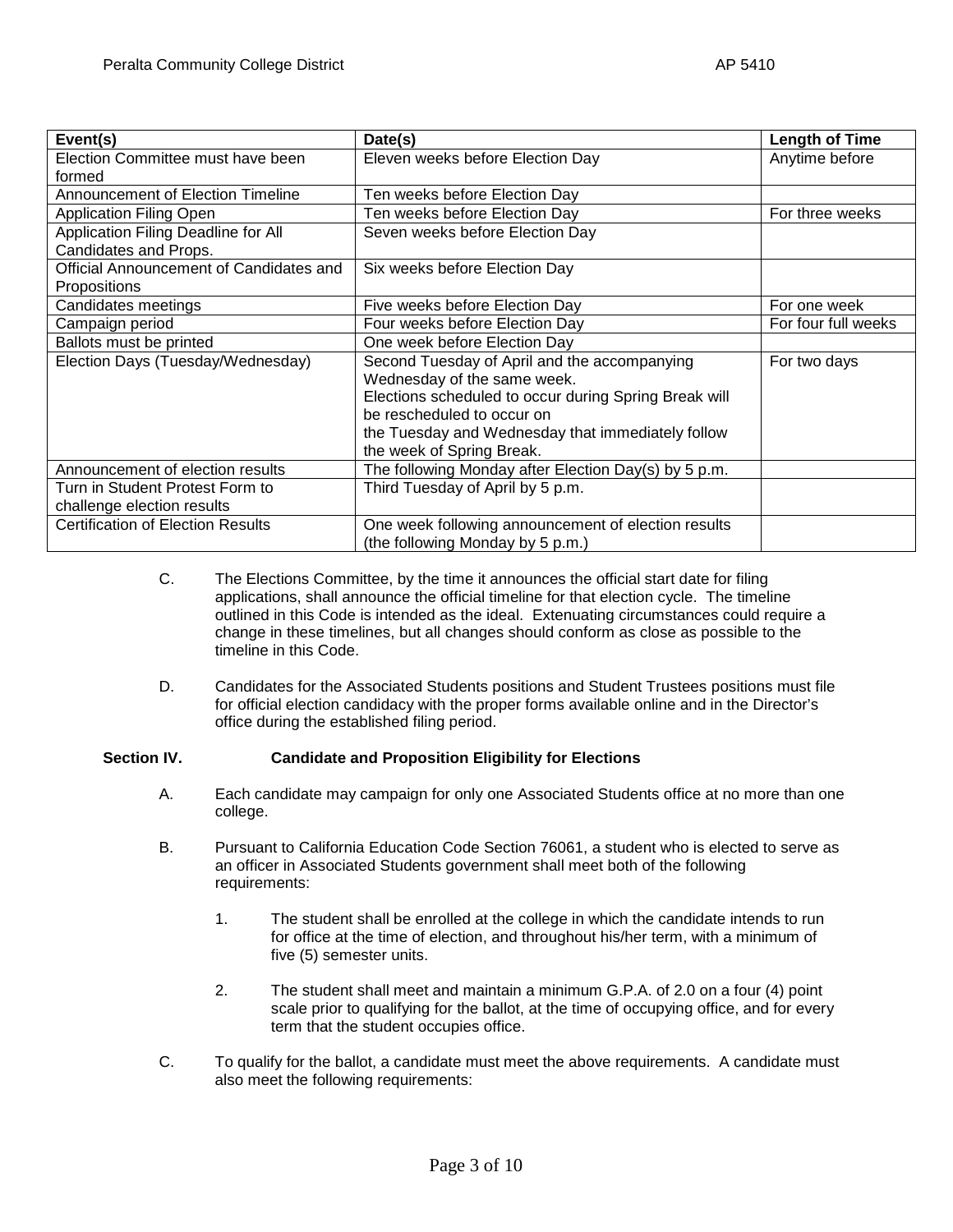| Event(s)                                 | Date(s)                                               | <b>Length of Time</b> |
|------------------------------------------|-------------------------------------------------------|-----------------------|
| Election Committee must have been        | Eleven weeks before Election Day                      | Anytime before        |
| formed                                   |                                                       |                       |
| <b>Announcement of Election Timeline</b> | Ten weeks before Election Day                         |                       |
| <b>Application Filing Open</b>           | Ten weeks before Election Day                         | For three weeks       |
| Application Filing Deadline for All      | Seven weeks before Election Day                       |                       |
| Candidates and Props.                    |                                                       |                       |
| Official Announcement of Candidates and  | Six weeks before Election Day                         |                       |
| Propositions                             |                                                       |                       |
| Candidates meetings                      | Five weeks before Election Day                        | For one week          |
| Campaign period                          | Four weeks before Election Day                        | For four full weeks   |
| Ballots must be printed                  | One week before Election Day                          |                       |
| Election Days (Tuesday/Wednesday)        | Second Tuesday of April and the accompanying          | For two days          |
|                                          | Wednesday of the same week.                           |                       |
|                                          | Elections scheduled to occur during Spring Break will |                       |
|                                          | be rescheduled to occur on                            |                       |
|                                          | the Tuesday and Wednesday that immediately follow     |                       |
|                                          | the week of Spring Break.                             |                       |
| Announcement of election results         | The following Monday after Election Day(s) by 5 p.m.  |                       |
| Turn in Student Protest Form to          | Third Tuesday of April by 5 p.m.                      |                       |
| challenge election results               |                                                       |                       |
| <b>Certification of Election Results</b> | One week following announcement of election results   |                       |
|                                          | (the following Monday by 5 p.m.)                      |                       |

- C. The Elections Committee, by the time it announces the official start date for filing applications, shall announce the official timeline for that election cycle. The timeline outlined in this Code is intended as the ideal. Extenuating circumstances could require a change in these timelines, but all changes should conform as close as possible to the timeline in this Code.
- D. Candidates for the Associated Students positions and Student Trustees positions must file for official election candidacy with the proper forms available online and in the Director's office during the established filing period.

# **Section IV. Candidate and Proposition Eligibility for Elections**

- A. Each candidate may campaign for only one Associated Students office at no more than one college.
- B. Pursuant to California Education Code Section 76061, a student who is elected to serve as an officer in Associated Students government shall meet both of the following requirements:
	- 1. The student shall be enrolled at the college in which the candidate intends to run for office at the time of election, and throughout his/her term, with a minimum of five (5) semester units.
	- 2. The student shall meet and maintain a minimum G.P.A. of 2.0 on a four (4) point scale prior to qualifying for the ballot, at the time of occupying office, and for every term that the student occupies office.
- C. To qualify for the ballot, a candidate must meet the above requirements. A candidate must also meet the following requirements: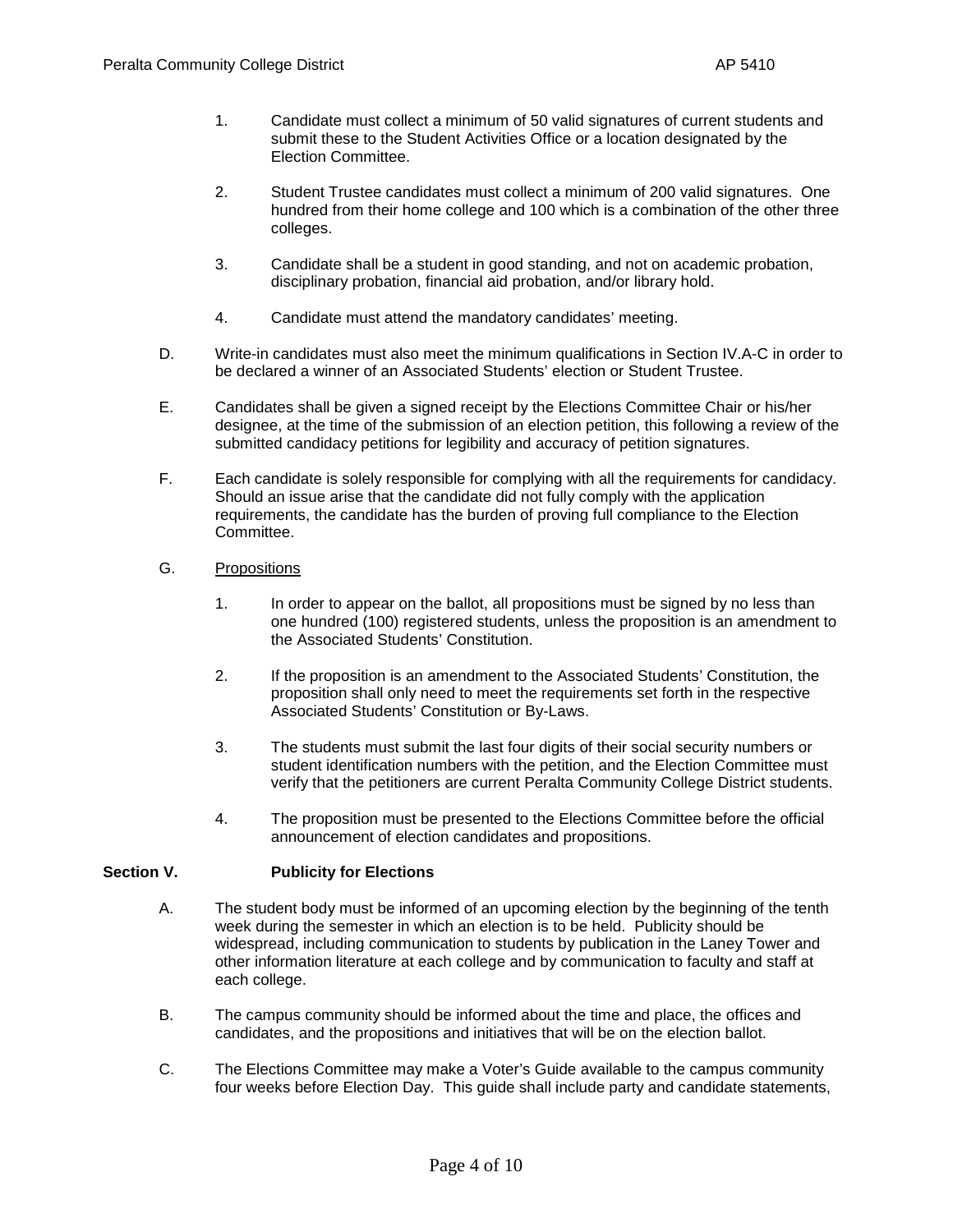- 1. Candidate must collect a minimum of 50 valid signatures of current students and submit these to the Student Activities Office or a location designated by the Election Committee.
- 2. Student Trustee candidates must collect a minimum of 200 valid signatures. One hundred from their home college and 100 which is a combination of the other three colleges.
- 3. Candidate shall be a student in good standing, and not on academic probation, disciplinary probation, financial aid probation, and/or library hold.
- 4. Candidate must attend the mandatory candidates' meeting.
- D. Write-in candidates must also meet the minimum qualifications in Section IV.A-C in order to be declared a winner of an Associated Students' election or Student Trustee.
- E. Candidates shall be given a signed receipt by the Elections Committee Chair or his/her designee, at the time of the submission of an election petition, this following a review of the submitted candidacy petitions for legibility and accuracy of petition signatures.
- F. Each candidate is solely responsible for complying with all the requirements for candidacy. Should an issue arise that the candidate did not fully comply with the application requirements, the candidate has the burden of proving full compliance to the Election Committee.
- G. Propositions
	- 1. In order to appear on the ballot, all propositions must be signed by no less than one hundred (100) registered students, unless the proposition is an amendment to the Associated Students' Constitution.
	- 2. If the proposition is an amendment to the Associated Students' Constitution, the proposition shall only need to meet the requirements set forth in the respective Associated Students' Constitution or By-Laws.
	- 3. The students must submit the last four digits of their social security numbers or student identification numbers with the petition, and the Election Committee must verify that the petitioners are current Peralta Community College District students.
	- 4. The proposition must be presented to the Elections Committee before the official announcement of election candidates and propositions.

# **Section V. Publicity for Elections**

- A. The student body must be informed of an upcoming election by the beginning of the tenth week during the semester in which an election is to be held. Publicity should be widespread, including communication to students by publication in the Laney Tower and other information literature at each college and by communication to faculty and staff at each college.
- B. The campus community should be informed about the time and place, the offices and candidates, and the propositions and initiatives that will be on the election ballot.
- C. The Elections Committee may make a Voter's Guide available to the campus community four weeks before Election Day. This guide shall include party and candidate statements,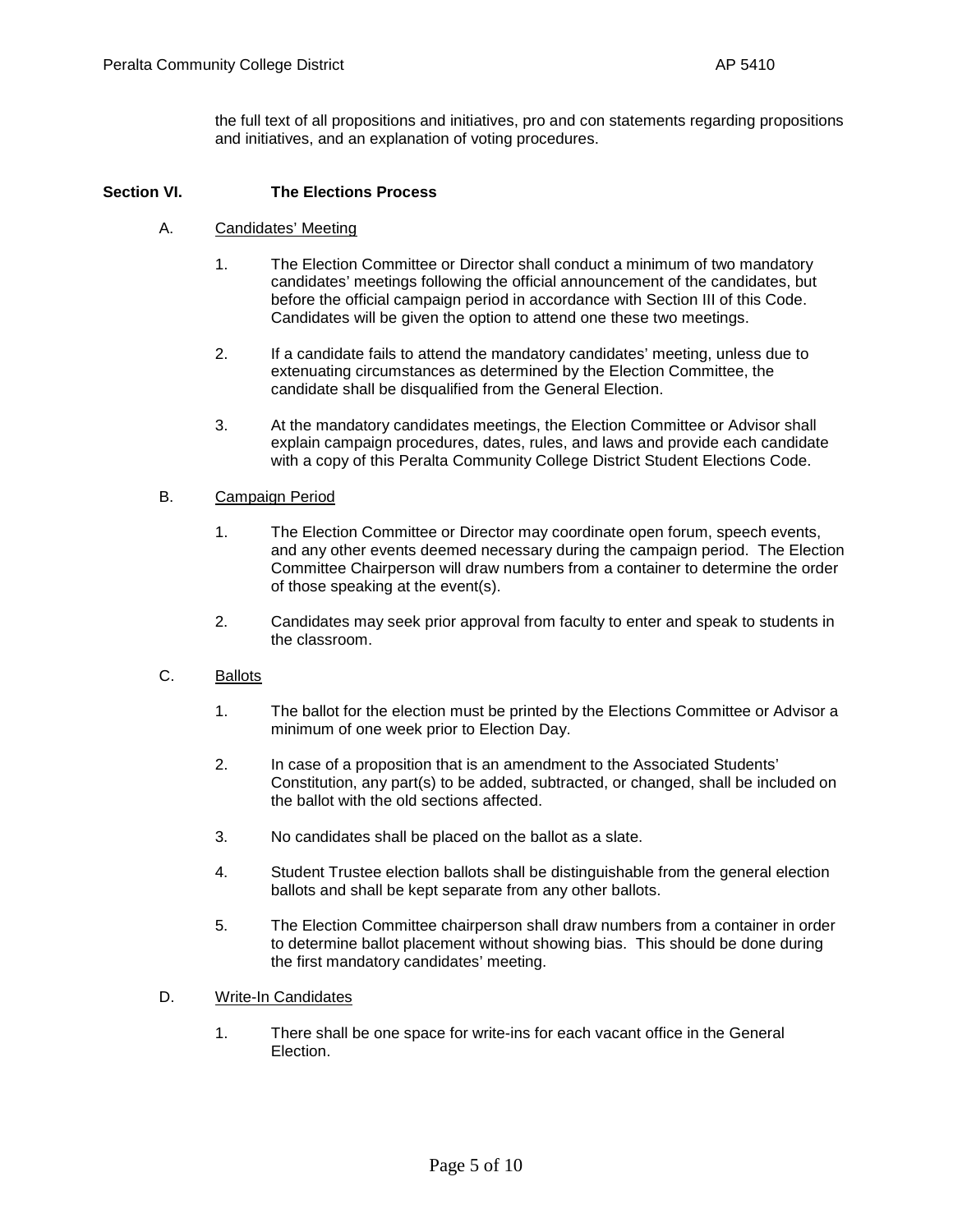the full text of all propositions and initiatives, pro and con statements regarding propositions and initiatives, and an explanation of voting procedures.

### **Section VI. The Elections Process**

- A. Candidates' Meeting
	- 1. The Election Committee or Director shall conduct a minimum of two mandatory candidates' meetings following the official announcement of the candidates, but before the official campaign period in accordance with Section III of this Code. Candidates will be given the option to attend one these two meetings.
	- 2. If a candidate fails to attend the mandatory candidates' meeting, unless due to extenuating circumstances as determined by the Election Committee, the candidate shall be disqualified from the General Election.
	- 3. At the mandatory candidates meetings, the Election Committee or Advisor shall explain campaign procedures, dates, rules, and laws and provide each candidate with a copy of this Peralta Community College District Student Elections Code.

### B. Campaign Period

- 1. The Election Committee or Director may coordinate open forum, speech events, and any other events deemed necessary during the campaign period. The Election Committee Chairperson will draw numbers from a container to determine the order of those speaking at the event(s).
- 2. Candidates may seek prior approval from faculty to enter and speak to students in the classroom.

### C. Ballots

- 1. The ballot for the election must be printed by the Elections Committee or Advisor a minimum of one week prior to Election Day.
- 2. In case of a proposition that is an amendment to the Associated Students' Constitution, any part(s) to be added, subtracted, or changed, shall be included on the ballot with the old sections affected.
- 3. No candidates shall be placed on the ballot as a slate.
- 4. Student Trustee election ballots shall be distinguishable from the general election ballots and shall be kept separate from any other ballots.
- 5. The Election Committee chairperson shall draw numbers from a container in order to determine ballot placement without showing bias. This should be done during the first mandatory candidates' meeting.

#### D. Write-In Candidates

1. There shall be one space for write-ins for each vacant office in the General Election.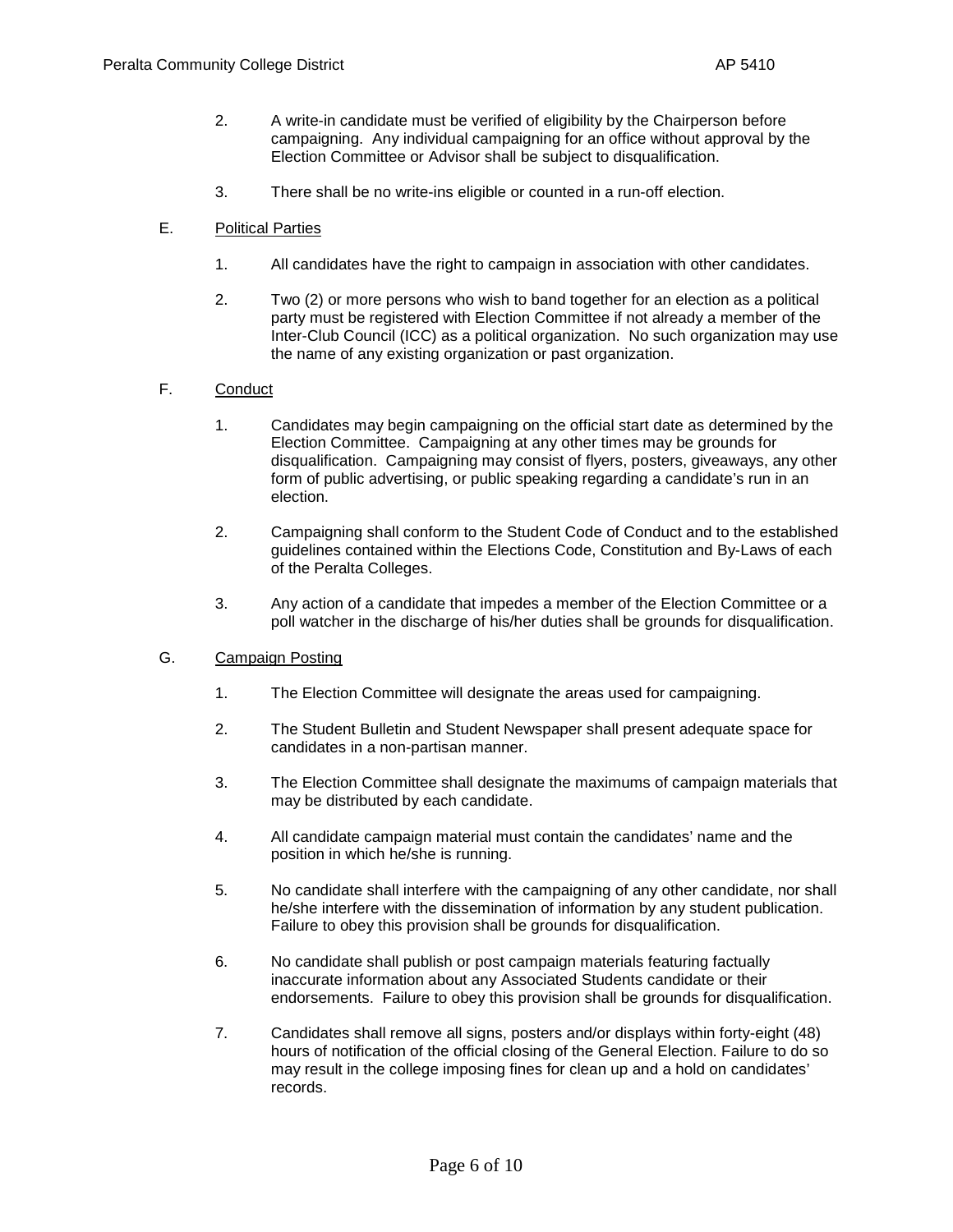- 2. A write-in candidate must be verified of eligibility by the Chairperson before campaigning. Any individual campaigning for an office without approval by the Election Committee or Advisor shall be subject to disqualification.
- 3. There shall be no write-ins eligible or counted in a run-off election.
- E. Political Parties
	- 1. All candidates have the right to campaign in association with other candidates.
	- 2. Two (2) or more persons who wish to band together for an election as a political party must be registered with Election Committee if not already a member of the Inter-Club Council (ICC) as a political organization. No such organization may use the name of any existing organization or past organization.

# F. Conduct

- 1. Candidates may begin campaigning on the official start date as determined by the Election Committee. Campaigning at any other times may be grounds for disqualification. Campaigning may consist of flyers, posters, giveaways, any other form of public advertising, or public speaking regarding a candidate's run in an election.
- 2. Campaigning shall conform to the Student Code of Conduct and to the established guidelines contained within the Elections Code, Constitution and By-Laws of each of the Peralta Colleges.
- 3. Any action of a candidate that impedes a member of the Election Committee or a poll watcher in the discharge of his/her duties shall be grounds for disqualification.

#### G. Campaign Posting

- 1. The Election Committee will designate the areas used for campaigning.
- 2. The Student Bulletin and Student Newspaper shall present adequate space for candidates in a non-partisan manner.
- 3. The Election Committee shall designate the maximums of campaign materials that may be distributed by each candidate.
- 4. All candidate campaign material must contain the candidates' name and the position in which he/she is running.
- 5. No candidate shall interfere with the campaigning of any other candidate, nor shall he/she interfere with the dissemination of information by any student publication. Failure to obey this provision shall be grounds for disqualification.
- 6. No candidate shall publish or post campaign materials featuring factually inaccurate information about any Associated Students candidate or their endorsements. Failure to obey this provision shall be grounds for disqualification.
- 7. Candidates shall remove all signs, posters and/or displays within forty-eight (48) hours of notification of the official closing of the General Election. Failure to do so may result in the college imposing fines for clean up and a hold on candidates' records.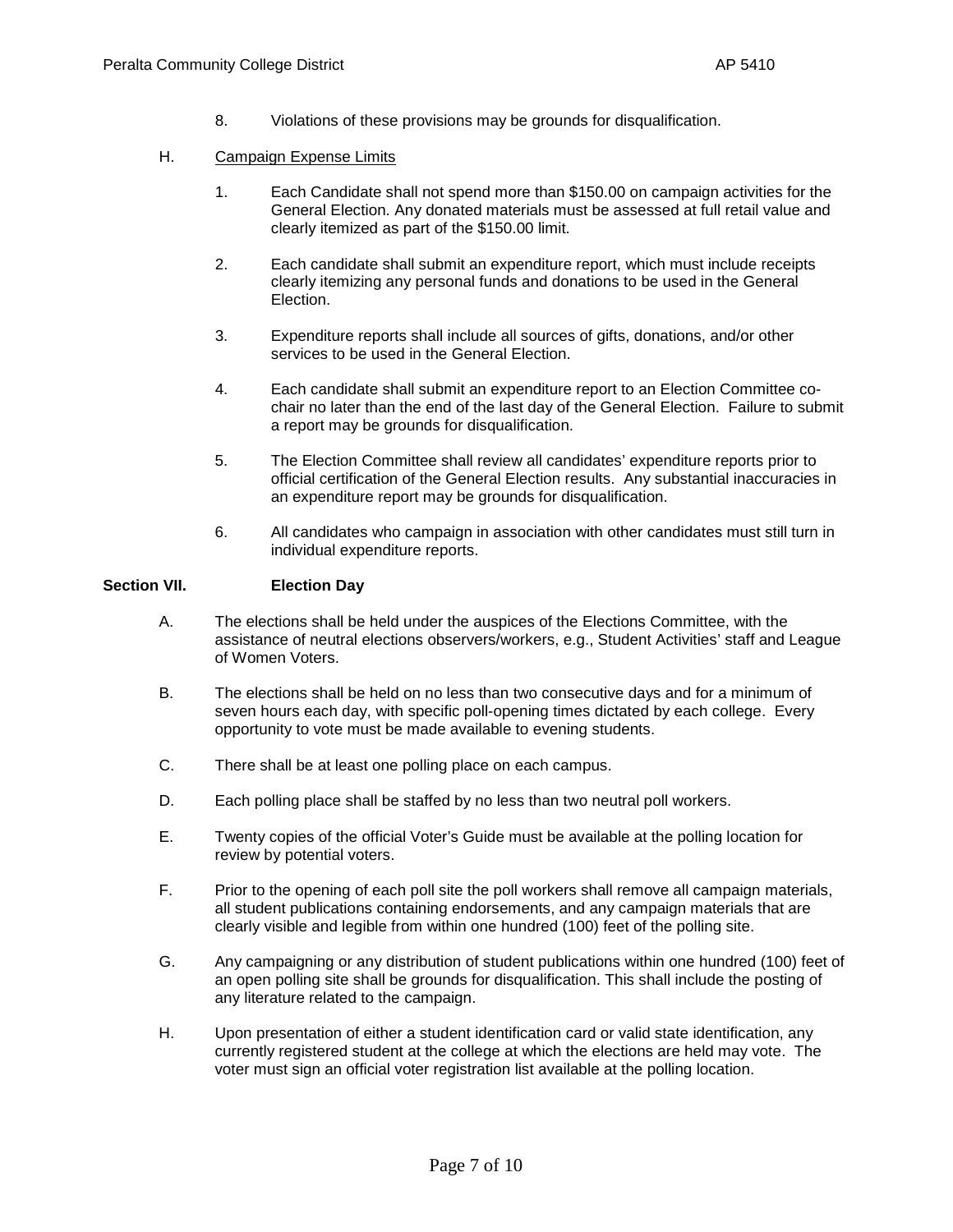8. Violations of these provisions may be grounds for disqualification.

# H. Campaign Expense Limits

- 1. Each Candidate shall not spend more than \$150.00 on campaign activities for the General Election. Any donated materials must be assessed at full retail value and clearly itemized as part of the \$150.00 limit.
- 2. Each candidate shall submit an expenditure report, which must include receipts clearly itemizing any personal funds and donations to be used in the General Election.
- 3. Expenditure reports shall include all sources of gifts, donations, and/or other services to be used in the General Election.
- 4. Each candidate shall submit an expenditure report to an Election Committee cochair no later than the end of the last day of the General Election. Failure to submit a report may be grounds for disqualification.
- 5. The Election Committee shall review all candidates' expenditure reports prior to official certification of the General Election results. Any substantial inaccuracies in an expenditure report may be grounds for disqualification.
- 6. All candidates who campaign in association with other candidates must still turn in individual expenditure reports.

### **Section VII. Election Day**

- A. The elections shall be held under the auspices of the Elections Committee, with the assistance of neutral elections observers/workers, e.g., Student Activities' staff and League of Women Voters.
- B. The elections shall be held on no less than two consecutive days and for a minimum of seven hours each day, with specific poll-opening times dictated by each college. Every opportunity to vote must be made available to evening students.
- C. There shall be at least one polling place on each campus.
- D. Each polling place shall be staffed by no less than two neutral poll workers.
- E. Twenty copies of the official Voter's Guide must be available at the polling location for review by potential voters.
- F. Prior to the opening of each poll site the poll workers shall remove all campaign materials, all student publications containing endorsements, and any campaign materials that are clearly visible and legible from within one hundred (100) feet of the polling site.
- G. Any campaigning or any distribution of student publications within one hundred (100) feet of an open polling site shall be grounds for disqualification. This shall include the posting of any literature related to the campaign.
- H. Upon presentation of either a student identification card or valid state identification, any currently registered student at the college at which the elections are held may vote. The voter must sign an official voter registration list available at the polling location.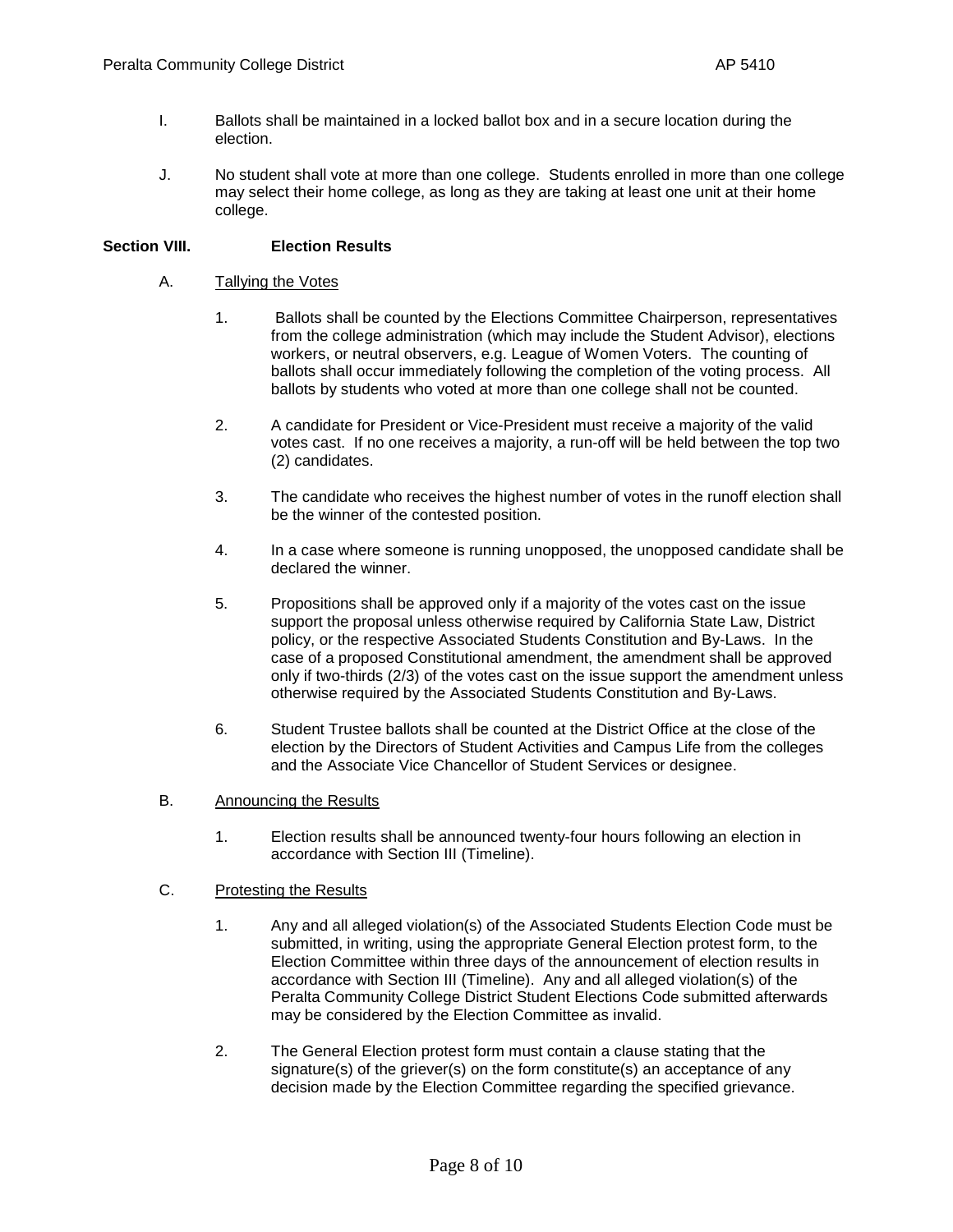- I. Ballots shall be maintained in a locked ballot box and in a secure location during the election.
- J. No student shall vote at more than one college. Students enrolled in more than one college may select their home college, as long as they are taking at least one unit at their home college.

### **Section VIII. Election Results**

#### A. Tallying the Votes

- 1. Ballots shall be counted by the Elections Committee Chairperson, representatives from the college administration (which may include the Student Advisor), elections workers, or neutral observers, e.g. League of Women Voters. The counting of ballots shall occur immediately following the completion of the voting process. All ballots by students who voted at more than one college shall not be counted.
- 2. A candidate for President or Vice-President must receive a majority of the valid votes cast. If no one receives a majority, a run-off will be held between the top two (2) candidates.
- 3. The candidate who receives the highest number of votes in the runoff election shall be the winner of the contested position.
- 4. In a case where someone is running unopposed, the unopposed candidate shall be declared the winner.
- 5. Propositions shall be approved only if a majority of the votes cast on the issue support the proposal unless otherwise required by California State Law, District policy, or the respective Associated Students Constitution and By-Laws. In the case of a proposed Constitutional amendment, the amendment shall be approved only if two-thirds (2/3) of the votes cast on the issue support the amendment unless otherwise required by the Associated Students Constitution and By-Laws.
- 6. Student Trustee ballots shall be counted at the District Office at the close of the election by the Directors of Student Activities and Campus Life from the colleges and the Associate Vice Chancellor of Student Services or designee.
- B. Announcing the Results
	- 1. Election results shall be announced twenty-four hours following an election in accordance with Section III (Timeline).

#### C. Protesting the Results

- 1. Any and all alleged violation(s) of the Associated Students Election Code must be submitted, in writing, using the appropriate General Election protest form, to the Election Committee within three days of the announcement of election results in accordance with Section III (Timeline). Any and all alleged violation(s) of the Peralta Community College District Student Elections Code submitted afterwards may be considered by the Election Committee as invalid.
- 2. The General Election protest form must contain a clause stating that the signature(s) of the griever(s) on the form constitute(s) an acceptance of any decision made by the Election Committee regarding the specified grievance.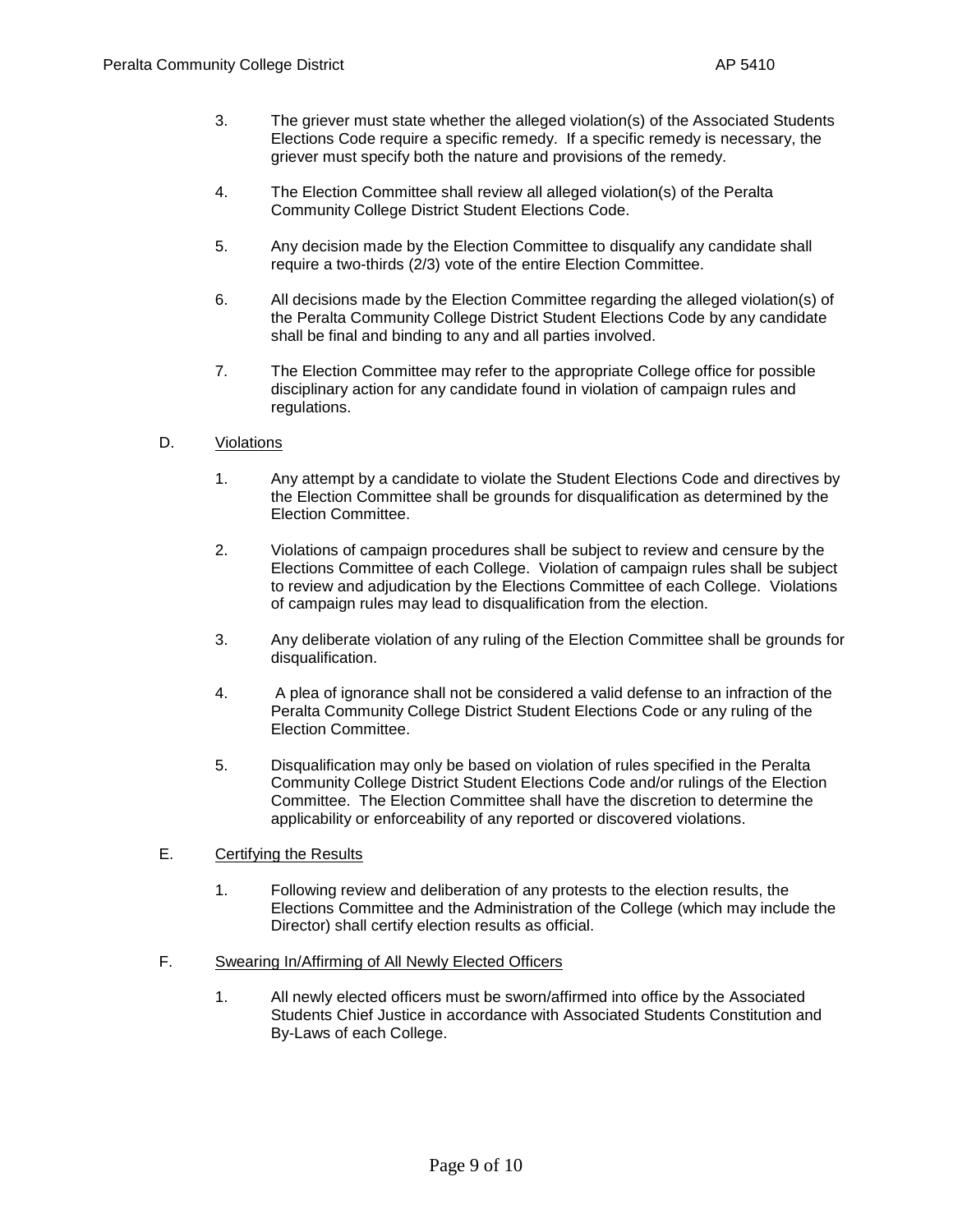- 3. The griever must state whether the alleged violation(s) of the Associated Students Elections Code require a specific remedy. If a specific remedy is necessary, the griever must specify both the nature and provisions of the remedy.
- 4. The Election Committee shall review all alleged violation(s) of the Peralta Community College District Student Elections Code.
- 5. Any decision made by the Election Committee to disqualify any candidate shall require a two-thirds (2/3) vote of the entire Election Committee.
- 6. All decisions made by the Election Committee regarding the alleged violation(s) of the Peralta Community College District Student Elections Code by any candidate shall be final and binding to any and all parties involved.
- 7. The Election Committee may refer to the appropriate College office for possible disciplinary action for any candidate found in violation of campaign rules and regulations.

### D. Violations

- 1. Any attempt by a candidate to violate the Student Elections Code and directives by the Election Committee shall be grounds for disqualification as determined by the Election Committee.
- 2. Violations of campaign procedures shall be subject to review and censure by the Elections Committee of each College. Violation of campaign rules shall be subject to review and adjudication by the Elections Committee of each College. Violations of campaign rules may lead to disqualification from the election.
- 3. Any deliberate violation of any ruling of the Election Committee shall be grounds for disqualification.
- 4. A plea of ignorance shall not be considered a valid defense to an infraction of the Peralta Community College District Student Elections Code or any ruling of the Election Committee.
- 5. Disqualification may only be based on violation of rules specified in the Peralta Community College District Student Elections Code and/or rulings of the Election Committee. The Election Committee shall have the discretion to determine the applicability or enforceability of any reported or discovered violations.
- E. Certifying the Results
	- 1. Following review and deliberation of any protests to the election results, the Elections Committee and the Administration of the College (which may include the Director) shall certify election results as official.
- F. Swearing In/Affirming of All Newly Elected Officers
	- 1. All newly elected officers must be sworn/affirmed into office by the Associated Students Chief Justice in accordance with Associated Students Constitution and By-Laws of each College.